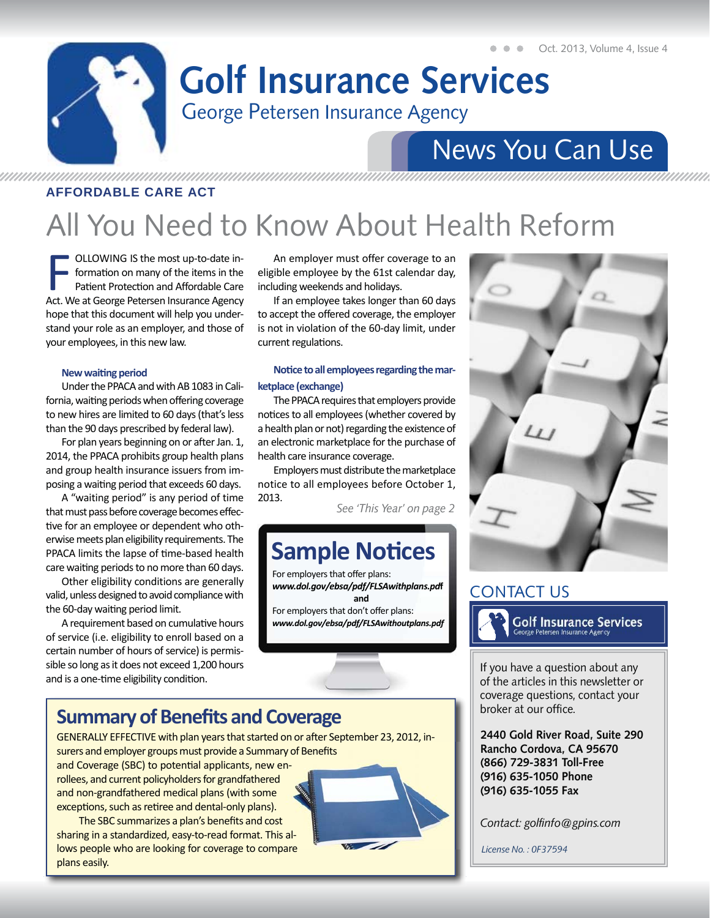### George Petersen Insurance Agency **Golf Insurance Services**

## News You Can Use

### AFFORDABLE CARE ACT

# All You Need to Know About Health Reform

**FEDENTIFY COLLOWING IS the most up-to-date in-**<br>formation on many of the items in the<br>Patient Protection and Affordable Care<br>Act. We at George Petersen Insurance Agency formation on many of the items in the Patient Protection and Affordable Care Act. We at George Petersen Insurance Agency hope that this document will help you understand your role as an employer, and those of your employees, in this new law.

#### **New waiting period**

Under the PPACA and with AB 1083 in California, waiting periods when offering coverage to new hires are limited to 60 days (that's less than the 90 days prescribed by federal law).

For plan years beginning on or after Jan. 1, 2014, the PPACA prohibits group health plans and group health insurance issuers from imposing a waiting period that exceeds 60 days.

A "waiting period" is any period of time that must pass before coverage becomes effective for an employee or dependent who otherwise meets plan eligibility requirements. The PPACA limits the lapse of time-based health care waiting periods to no more than 60 days.

Other eligibility conditions are generally valid, unless designed to avoid compliance with the 60-day waiting period limit.

A requirement based on cumulative hours of service (i.e. eligibility to enroll based on a certain number of hours of service) is permissible so long as it does not exceed 1,200 hours and is a one-time eligibility condition.

An employer must offer coverage to an eligible employee by the 61st calendar day, including weekends and holidays.

If an employee takes longer than 60 days to accept the offered coverage, the employer is not in violation of the 60-day limit, under current regulations.

### Notice to all employees regarding the mar**ketplace (exchange)**

The PPACA requires that employers provide notices to all employees (whether covered by a health plan or not) regarding the existence of an electronic marketplace for the purchase of health care insurance coverage.

Employers must distribute the marketplace notice to all employees before October 1, 2013.

*See 'This Year' on page 2*

### **Sample Notices**

For employers that offer plans: *www.dol.gov/ebsa/pdf/FLSAwithplans.pd***f and**  For employers that don't offer plans: *www.dol.gov/ebsa/pdf/FLSAwithoutplans.pdf*

### **Summary of Benefits and Coverage**

GENERALLY EFFECTIVE with plan years that started on or after September 23, 2012, insurers and employer groups must provide a Summary of Benefits

and Coverage (SBC) to potential applicants, new enrollees, and current policyholders for grandfathered and non-grandfathered medical plans (with some exceptions, such as retiree and dental-only plans).

The SBC summarizes a plan's benefits and cost sharing in a standardized, easy-to-read format. This allows people who are looking for coverage to compare plans easily.





### CONTACT US



**Golf Insurance Services** 

If you have a question about any of the articles in this newsletter or coverage questions, contact your broker at our office.

**2440 Gold River Road, Suite 290 Rancho Cordova, CA 95670 (866) 729-3831 Toll-Free (916) 635-1050 Phone (916) 635-1055 Fax**

*Contact: golfi nfo@gpins.com*

*License No. : 0F37594*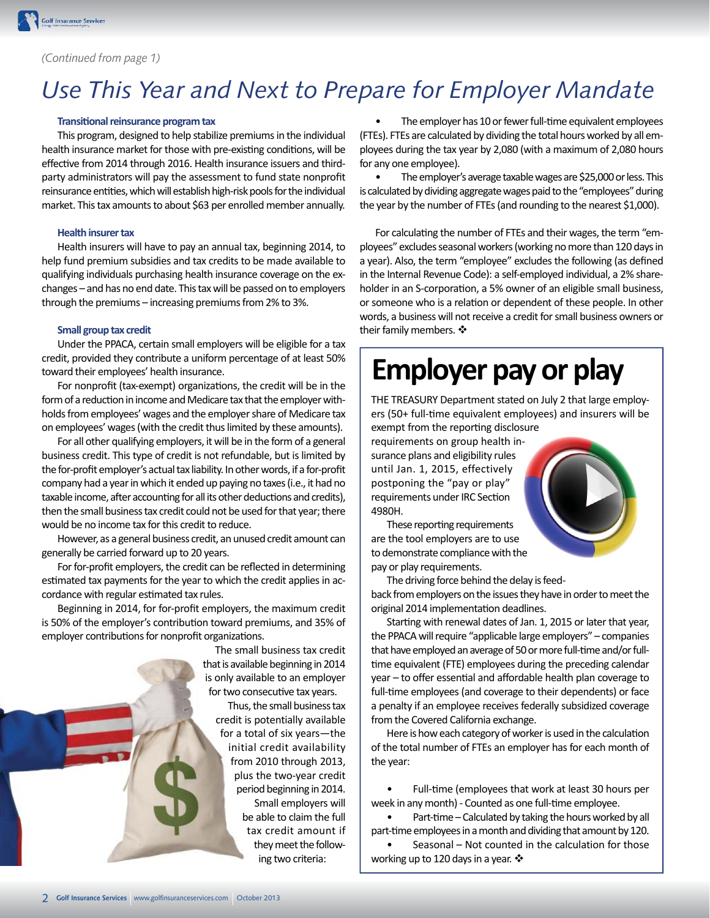#### *(Continued from page 1)*

### *Use This Year and Next to Prepare for Employer Mandate*

#### **Transitional reinsurance program tax**

This program, designed to help stabilize premiums in the individual health insurance market for those with pre-existing conditions, will be effective from 2014 through 2016. Health insurance issuers and thirdparty administrators will pay the assessment to fund state nonprofit reinsurance entities, which will establish high-risk pools for the individual market. This tax amounts to about \$63 per enrolled member annually.

#### **Health insurer tax**

Health insurers will have to pay an annual tax, beginning 2014, to help fund premium subsidies and tax credits to be made available to qualifying individuals purchasing health insurance coverage on the exchanges – and has no end date. This tax will be passed on to employers through the premiums – increasing premiums from 2% to 3%.

#### **Small group tax credit**

Under the PPACA, certain small employers will be eligible for a tax credit, provided they contribute a uniform percentage of at least 50% toward their employees' health insurance.

For nonprofit (tax-exempt) organizations, the credit will be in the form of a reduction in income and Medicare tax that the employer withholds from employees' wages and the employer share of Medicare tax on employees' wages (with the credit thus limited by these amounts).

For all other qualifying employers, it will be in the form of a general business credit. This type of credit is not refundable, but is limited by the for-profit employer's actual tax liability. In other words, if a for-profit company had a year in which it ended up paying no taxes (i.e., it had no taxable income, after accounting for all its other deductions and credits), then the small business tax credit could not be used for that year; there would be no income tax for this credit to reduce.

However, as a general business credit, an unused credit amount can generally be carried forward up to 20 years.

For for-profit employers, the credit can be reflected in determining estimated tax payments for the year to which the credit applies in accordance with regular estimated tax rules.

Beginning in 2014, for for-profit employers, the maximum credit is 50% of the employer's contribution toward premiums, and 35% of employer contributions for nonprofit organizations.

> The small business tax credit that is available beginning in 2014 is only available to an employer for two consecutive tax years.

Thus, the small business tax credit is potentially available for a total of six years—the initial credit availability from 2010 through 2013, plus the two-year credit period beginning in 2014. Small employers will be able to claim the full tax credit amount if they meet the following two criteria:

The employer has 10 or fewer full-time equivalent employees (FTEs). FTEs are calculated by dividing the total hours worked by all employees during the tax year by 2,080 (with a maximum of 2,080 hours for any one employee).

• The employer's average taxable wages are \$25,000 or less. This is calculated by dividing aggregate wages paid to the "employees" during the year by the number of FTEs (and rounding to the nearest \$1,000).

For calculating the number of FTEs and their wages, the term "employees" excludes seasonal workers (working no more than 120 days in a year). Also, the term "employee" excludes the following (as defined in the Internal Revenue Code): a self-employed individual, a 2% shareholder in an S-corporation, a 5% owner of an eligible small business, or someone who is a relation or dependent of these people. In other words, a business will not receive a credit for small business owners or their family members.

## **Employer pay or play**

THE TREASURY Department stated on July 2 that large employers (50+ full-time equivalent employees) and insurers will be exempt from the reporting disclosure

requirements on group health insurance plans and eligibility rules until Jan. 1, 2015, effectively postponing the "pay or play" requirements under IRC Section 4980H.



These reporting requirements are the tool employers are to use to demonstrate compliance with the pay or play requirements.

The driving force behind the delay is feed-

back from employers on the issues they have in order to meet the original 2014 implementation deadlines.

Starting with renewal dates of Jan. 1, 2015 or later that year, the PPACA will require "applicable large employers" – companies that have employed an average of 50 or more full-time and/or fulltime equivalent (FTE) employees during the preceding calendar year – to offer essential and affordable health plan coverage to full-time employees (and coverage to their dependents) or face a penalty if an employee receives federally subsidized coverage from the Covered California exchange.

Here is how each category of worker is used in the calculation of the total number of FTEs an employer has for each month of the year:

Full-time (employees that work at least 30 hours per week in any month) - Counted as one full-time employee.

Part-time – Calculated by taking the hours worked by all part-time employees in a month and dividing that amount by 120.

Seasonal – Not counted in the calculation for those working up to 120 days in a year. ❖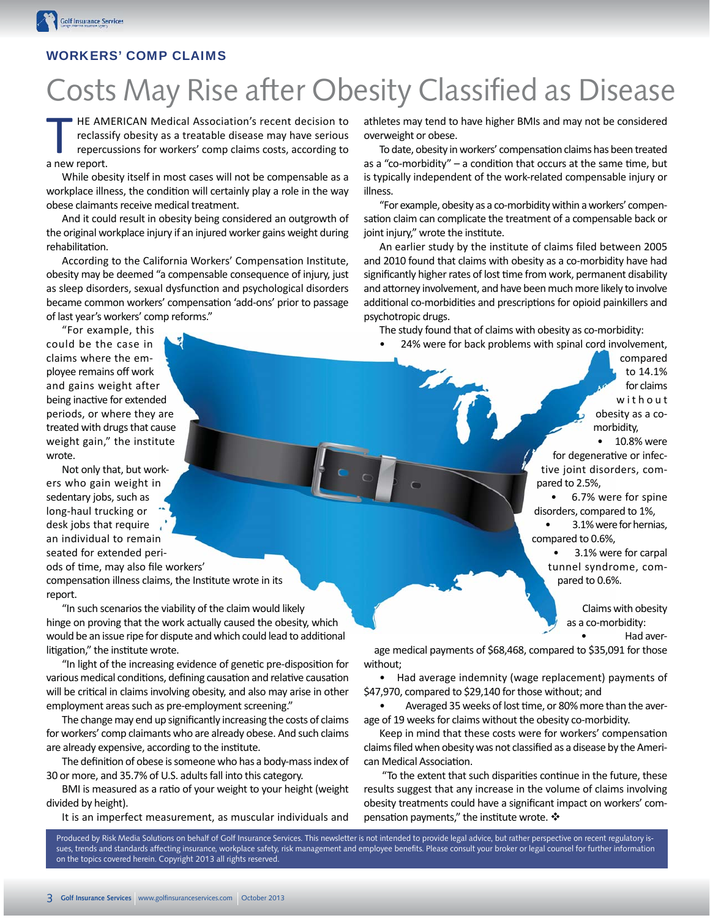### WORKERS' COMP CLAIMS

# Costs May Rise after Obesity Classified as Disease

HE AMERICAN Medical Association's recent decision to reclassify obesity as a treatable disease may have serious repercussions for workers' comp claims costs, according to a new report.

While obesity itself in most cases will not be compensable as a workplace illness, the condition will certainly play a role in the way obese claimants receive medical treatment.

And it could result in obesity being considered an outgrowth of the original workplace injury if an injured worker gains weight during rehabilitation.

According to the California Workers' Compensation Institute, obesity may be deemed "a compensable consequence of injury, just as sleep disorders, sexual dysfunction and psychological disorders became common workers' compensation 'add-ons' prior to passage of last year's workers' comp reforms."

"For example, this could be the case in claims where the employee remains off work and gains weight after being inactive for extended periods, or where they are treated with drugs that cause weight gain," the institute wrote.

Not only that, but workers who gain weight in sedentary jobs, such as long-haul trucking or desk jobs that require an individual to remain seated for extended periods of time, may also file workers' compensation illness claims, the Institute wrote in its report.

"In such scenarios the viability of the claim would likely hinge on proving that the work actually caused the obesity, which would be an issue ripe for dispute and which could lead to additional litigation," the institute wrote.

"In light of the increasing evidence of genetic pre-disposition for various medical conditions, defining causation and relative causation will be critical in claims involving obesity, and also may arise in other employment areas such as pre-employment screening."

The change may end up significantly increasing the costs of claims for workers' comp claimants who are already obese. And such claims are already expensive, according to the institute.

The definition of obese is someone who has a body-mass index of 30 or more, and 35.7% of U.S. adults fall into this category.

BMI is measured as a ratio of your weight to your height (weight divided by height).

It is an imperfect measurement, as muscular individuals and

athletes may tend to have higher BMIs and may not be considered overweight or obese.

To date, obesity in workers' compensation claims has been treated as a "co-morbidity" – a condition that occurs at the same time, but is typically independent of the work-related compensable injury or illness.

"For example, obesity as a co-morbidity within a workers' compensation claim can complicate the treatment of a compensable back or joint injury," wrote the institute.

An earlier study by the institute of claims filed between 2005 and 2010 found that claims with obesity as a co-morbidity have had significantly higher rates of lost time from work, permanent disability and attorney involvement, and have been much more likely to involve additional co-morbidities and prescriptions for opioid painkillers and psychotropic drugs.

The study found that of claims with obesity as co-morbidity:

• 24% were for back problems with spinal cord involvement,

compared to 14.1% for claims w i t h o u t obesity as a comorbidity,

• 10.8% were for degenerative or infective joint disorders, compared to 2.5%,

• 6.7% were for spine disorders, compared to 1%,

• 3.1% were for hernias, compared to 0.6%,

• 3.1% were for carpal tunnel syndrome, compared to 0.6%.

> Claims with obesity as a co-morbidity:

> > • Had aver-

age medical payments of \$68,468, compared to \$35,091 for those without;

• Had average indemnity (wage replacement) payments of \$47,970, compared to \$29,140 for those without; and

Averaged 35 weeks of lost time, or 80% more than the average of 19 weeks for claims without the obesity co-morbidity.

Keep in mind that these costs were for workers' compensation claims filed when obesity was not classified as a disease by the American Medical Association.

"To the extent that such disparities continue in the future, these results suggest that any increase in the volume of claims involving obesity treatments could have a significant impact on workers' compensation payments," the institute wrote.  $\clubsuit$ 

Produced by Risk Media Solutions on behalf of Golf Insurance Services. This newsletter is not intended to provide legal advice, but rather perspective on recent regulatory issues, trends and standards affecting insurance, workplace safety, risk management and employee benefits. Please consult your broker or legal counsel for further information on the topics covered herein. Copyright 2013 all rights reserved.